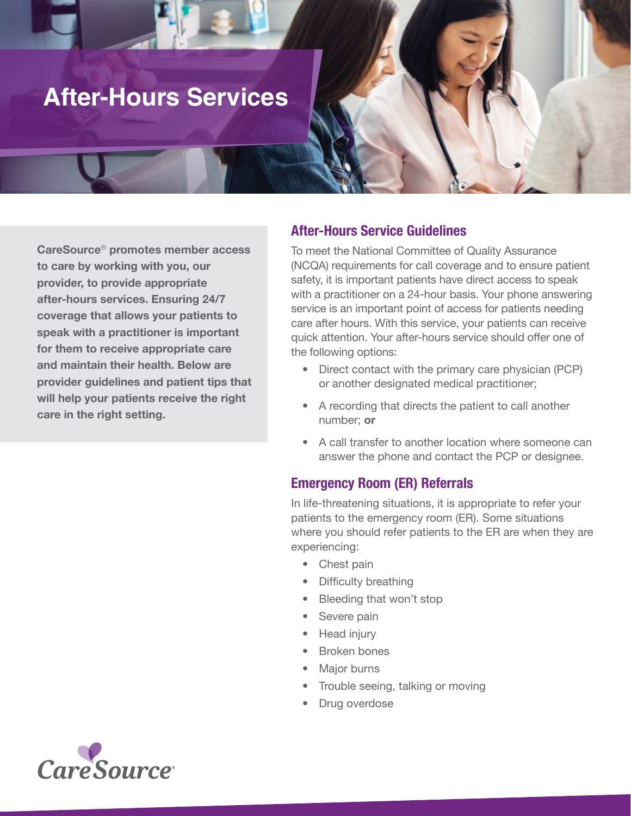# **After-Hours Services**

CareSource® promotes member access to care by working with you, our provider, to provide appropriate after-hours services. Ensuring 24/7 coverage that allows your patients to speak with a practitioner is important for them to receive appropriate care and maintain their health. Below are provider guidelines and patient tips that will help your patients receive the right care in the right setting.

## After-Hours Service Guidelines

To meet the National Committee of Quality Assurance (NCQA) requirements for call coverage and to ensure patient safety, it is important patients have direct access to speak with a practitioner on a 24-hour basis. Your phone answering service is an important point of access for patients needing care after hours. With this service, your patients can receive quick attention. Your after-hours service should offer one of the following options:

- Direct contact with the primary care physician (PCP) or another designated medical practitioner;
- A recording that directs the patient to call another number; or
- A call transfer to another location where someone can answer the phone and contact the PCP or designee.

## Emergency Room (ER) Referrals

In life-threatening situations, it is appropriate to refer your patients to the emergency room (ER). Some situations where you should refer patients to the ER are when they are experiencing:

- Chest pain
- Difficulty breathing
- Bleeding that won't stop
- Severe pain
- Head injury
- Broken bones
- **Major burns**
- Trouble seeing, talking or moving
- Drug overdose